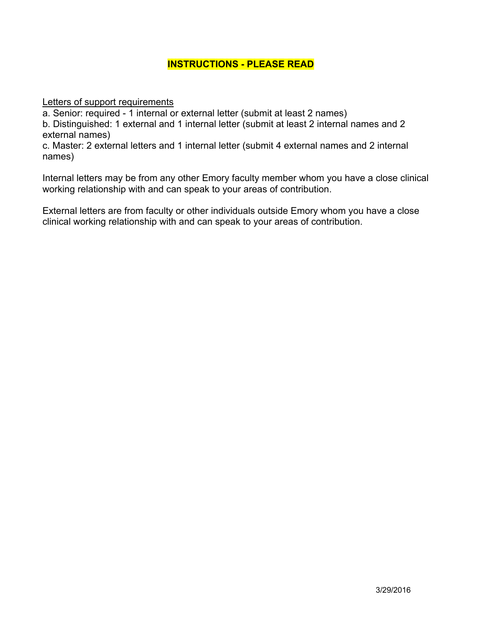## **INSTRUCTIONS - PLEASE READ**

Letters of support requirements

a. Senior: required - 1 internal or external letter (submit at least 2 names)

b. Distinguished: 1 external and 1 internal letter (submit at least 2 internal names and 2 external names)

c. Master: 2 external letters and 1 internal letter (submit 4 external names and 2 internal names)

Internal letters may be from any other Emory faculty member whom you have a close clinical working relationship with and can speak to your areas of contribution.

External letters are from faculty or other individuals outside Emory whom you have a close clinical working relationship with and can speak to your areas of contribution.